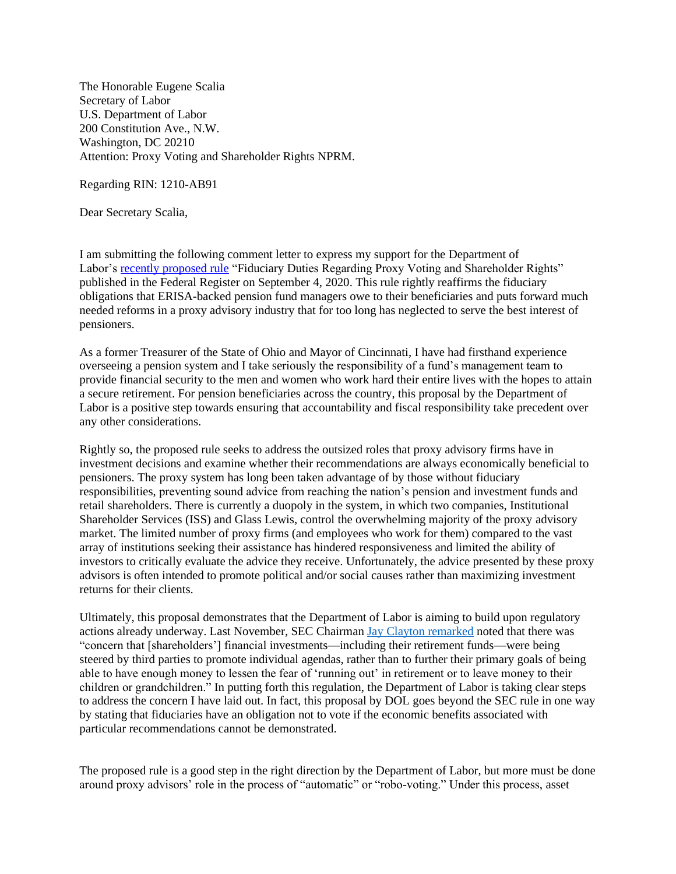The Honorable Eugene Scalia Secretary of Labor U.S. Department of Labor 200 Constitution Ave., N.W. Washington, DC 20210 Attention: Proxy Voting and Shareholder Rights NPRM.

Regarding RIN: 1210-AB91

Dear Secretary Scalia,

I am submitting the following comment letter to express my support for the Department of Labor's [recently proposed rule](https://www.federalregister.gov/documents/2020/09/04/2020-19472/fiduciary-duties-regarding-proxy-voting-and-shareholder-rights) "Fiduciary Duties Regarding Proxy Voting and Shareholder Rights" published in the Federal Register on September 4, 2020. This rule rightly reaffirms the fiduciary obligations that ERISA-backed pension fund managers owe to their beneficiaries and puts forward much needed reforms in a proxy advisory industry that for too long has neglected to serve the best interest of pensioners.

As a former Treasurer of the State of Ohio and Mayor of Cincinnati, I have had firsthand experience overseeing a pension system and I take seriously the responsibility of a fund's management team to provide financial security to the men and women who work hard their entire lives with the hopes to attain a secure retirement. For pension beneficiaries across the country, this proposal by the Department of Labor is a positive step towards ensuring that accountability and fiscal responsibility take precedent over any other considerations.

Rightly so, the proposed rule seeks to address the outsized roles that proxy advisory firms have in investment decisions and examine whether their recommendations are always economically beneficial to pensioners. The proxy system has long been taken advantage of by those without fiduciary responsibilities, preventing sound advice from reaching the nation's pension and investment funds and retail shareholders. There is currently a duopoly in the system, in which two companies, Institutional Shareholder Services (ISS) and Glass Lewis, control the overwhelming majority of the proxy advisory market. The limited number of proxy firms (and employees who work for them) compared to the vast array of institutions seeking their assistance has hindered responsiveness and limited the ability of investors to critically evaluate the advice they receive. Unfortunately, the advice presented by these proxy advisors is often intended to promote political and/or social causes rather than maximizing investment returns for their clients.

Ultimately, this proposal demonstrates that the Department of Labor is aiming to build upon regulatory actions already underway. Last November, SEC Chairma[n Jay Clayton remarked](https://www.sec.gov/news/public-statement/statement-clayton-2019-11-05-open-meeting) noted that there was "concern that [shareholders'] financial investments—including their retirement funds—were being steered by third parties to promote individual agendas, rather than to further their primary goals of being able to have enough money to lessen the fear of 'running out' in retirement or to leave money to their children or grandchildren." In putting forth this regulation, the Department of Labor is taking clear steps to address the concern I have laid out. In fact, this proposal by DOL goes beyond the SEC rule in one way by stating that fiduciaries have an obligation not to vote if the economic benefits associated with particular recommendations cannot be demonstrated.

The proposed rule is a good step in the right direction by the Department of Labor, but more must be done around proxy advisors' role in the process of "automatic" or "robo-voting." Under this process, asset